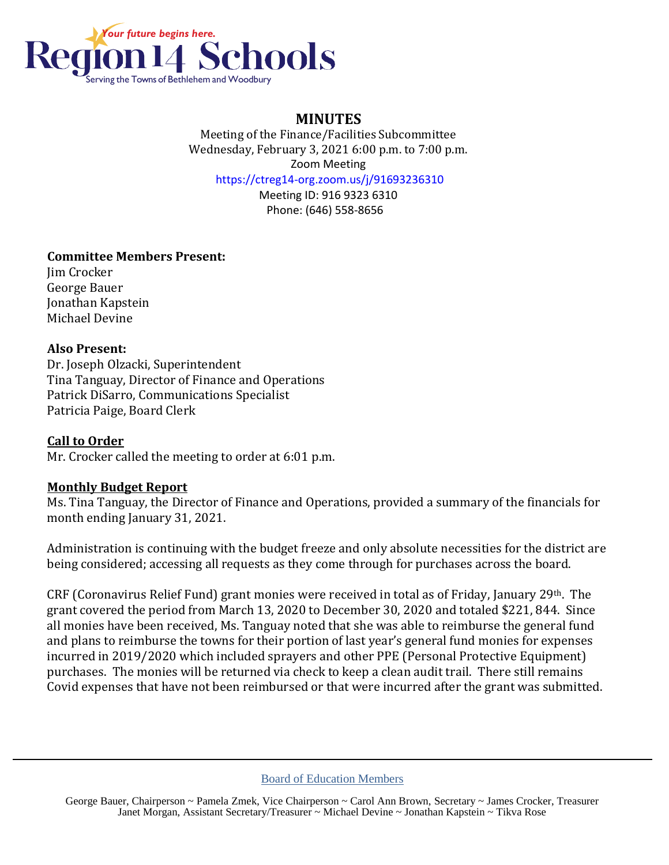

# **MINUTES**

Meeting of the Finance/Facilities Subcommittee Wednesday, February 3, 2021 6:00 p.m. to 7:00 p.m. Zoom Meeting https://ctreg14-org.zoom.us/j/91693236310

> Meeting ID: 916 9323 6310 Phone: (646) 558-8656

## **Committee Members Present:**

Jim Crocker George Bauer Jonathan Kapstein Michael Devine

#### **Also Present:**

Dr. Joseph Olzacki, Superintendent Tina Tanguay, Director of Finance and Operations Patrick DiSarro, Communications Specialist Patricia Paige, Board Clerk

**Call to Order** Mr. Crocker called the meeting to order at 6:01 p.m.

### **Monthly Budget Report**

Ms. Tina Tanguay, the Director of Finance and Operations, provided a summary of the financials for month ending January 31, 2021.

Administration is continuing with the budget freeze and only absolute necessities for the district are being considered; accessing all requests as they come through for purchases across the board.

CRF (Coronavirus Relief Fund) grant monies were received in total as of Friday, January 29th. The grant covered the period from March 13, 2020 to December 30, 2020 and totaled \$221, 844. Since all monies have been received, Ms. Tanguay noted that she was able to reimburse the general fund and plans to reimburse the towns for their portion of last year's general fund monies for expenses incurred in 2019/2020 which included sprayers and other PPE (Personal Protective Equipment) purchases. The monies will be returned via check to keep a clean audit trail. There still remains Covid expenses that have not been reimbursed or that were incurred after the grant was submitted.

Board of Education Members

George Bauer, Chairperson ~ Pamela Zmek, Vice Chairperson ~ Carol Ann Brown, Secretary ~ James Crocker, Treasurer Janet Morgan, Assistant Secretary/Treasurer ~ Michael Devine ~ Jonathan Kapstein ~ Tikva Rose